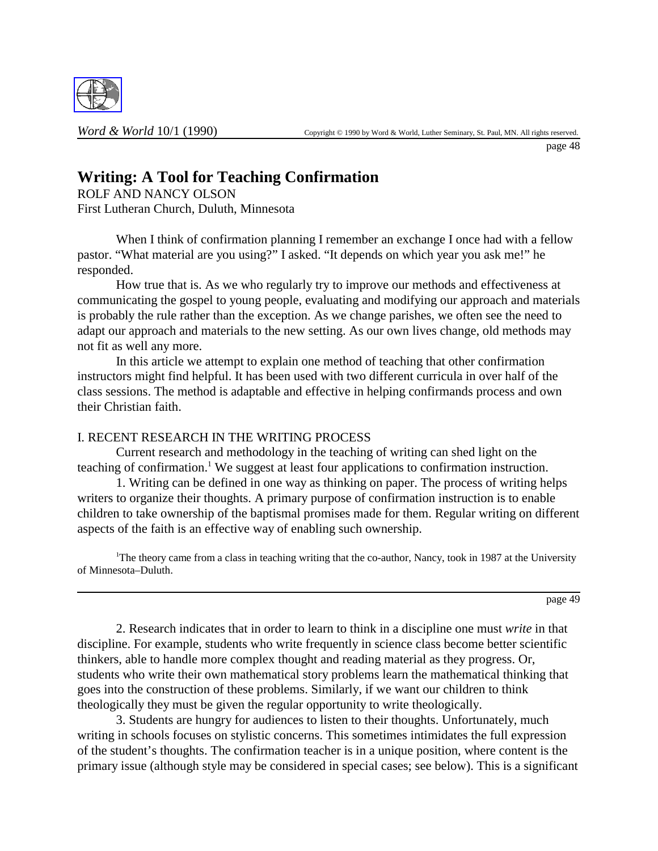

page 48

# **Writing: A Tool for Teaching Confirmation**

ROLF AND NANCY OLSON First Lutheran Church, Duluth, Minnesota

When I think of confirmation planning I remember an exchange I once had with a fellow pastor. "What material are you using?" I asked. "It depends on which year you ask me!" he responded.

How true that is. As we who regularly try to improve our methods and effectiveness at communicating the gospel to young people, evaluating and modifying our approach and materials is probably the rule rather than the exception. As we change parishes, we often see the need to adapt our approach and materials to the new setting. As our own lives change, old methods may not fit as well any more.

In this article we attempt to explain one method of teaching that other confirmation instructors might find helpful. It has been used with two different curricula in over half of the class sessions. The method is adaptable and effective in helping confirmands process and own their Christian faith.

## I. RECENT RESEARCH IN THE WRITING PROCESS

Current research and methodology in the teaching of writing can shed light on the teaching of confirmation.<sup>1</sup> We suggest at least four applications to confirmation instruction.

1. Writing can be defined in one way as thinking on paper. The process of writing helps writers to organize their thoughts. A primary purpose of confirmation instruction is to enable children to take ownership of the baptismal promises made for them. Regular writing on different aspects of the faith is an effective way of enabling such ownership.

<sup>1</sup>The theory came from a class in teaching writing that the co-author, Nancy, took in 1987 at the University of Minnesota–Duluth.

page 49

2. Research indicates that in order to learn to think in a discipline one must *write* in that discipline. For example, students who write frequently in science class become better scientific thinkers, able to handle more complex thought and reading material as they progress. Or, students who write their own mathematical story problems learn the mathematical thinking that goes into the construction of these problems. Similarly, if we want our children to think theologically they must be given the regular opportunity to write theologically.

3. Students are hungry for audiences to listen to their thoughts. Unfortunately, much writing in schools focuses on stylistic concerns. This sometimes intimidates the full expression of the student's thoughts. The confirmation teacher is in a unique position, where content is the primary issue (although style may be considered in special cases; see below). This is a significant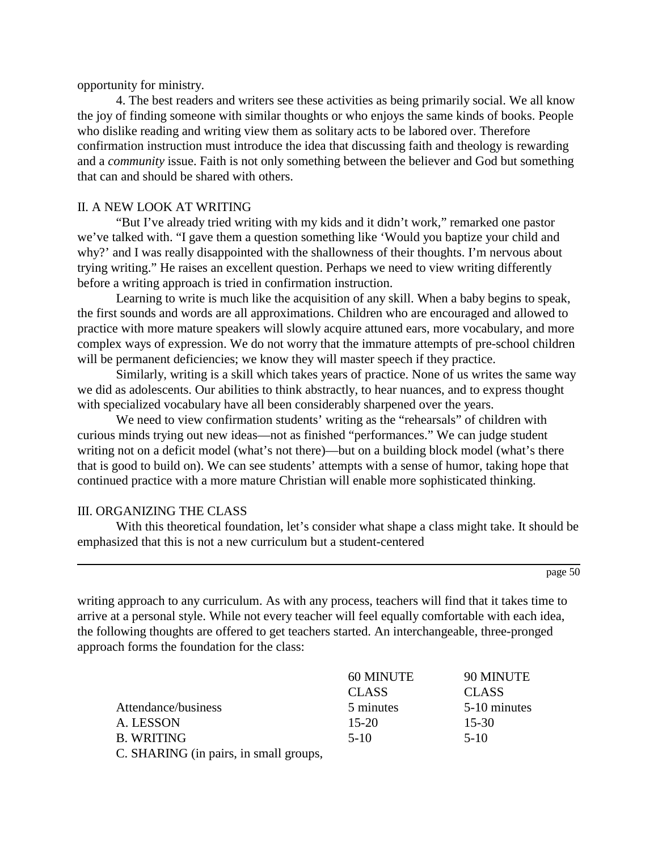opportunity for ministry.

4. The best readers and writers see these activities as being primarily social. We all know the joy of finding someone with similar thoughts or who enjoys the same kinds of books. People who dislike reading and writing view them as solitary acts to be labored over. Therefore confirmation instruction must introduce the idea that discussing faith and theology is rewarding and a *community* issue. Faith is not only something between the believer and God but something that can and should be shared with others.

## II. A NEW LOOK AT WRITING

"But I've already tried writing with my kids and it didn't work," remarked one pastor we've talked with. "I gave them a question something like 'Would you baptize your child and why?' and I was really disappointed with the shallowness of their thoughts. I'm nervous about trying writing." He raises an excellent question. Perhaps we need to view writing differently before a writing approach is tried in confirmation instruction.

Learning to write is much like the acquisition of any skill. When a baby begins to speak, the first sounds and words are all approximations. Children who are encouraged and allowed to practice with more mature speakers will slowly acquire attuned ears, more vocabulary, and more complex ways of expression. We do not worry that the immature attempts of pre-school children will be permanent deficiencies; we know they will master speech if they practice.

Similarly, writing is a skill which takes years of practice. None of us writes the same way we did as adolescents. Our abilities to think abstractly, to hear nuances, and to express thought with specialized vocabulary have all been considerably sharpened over the years.

We need to view confirmation students' writing as the "rehearsals" of children with curious minds trying out new ideas—not as finished "performances." We can judge student writing not on a deficit model (what's not there)—but on a building block model (what's there that is good to build on). We can see students' attempts with a sense of humor, taking hope that continued practice with a more mature Christian will enable more sophisticated thinking.

#### III. ORGANIZING THE CLASS

With this theoretical foundation, let's consider what shape a class might take. It should be emphasized that this is not a new curriculum but a student-centered

page 50

writing approach to any curriculum. As with any process, teachers will find that it takes time to arrive at a personal style. While not every teacher will feel equally comfortable with each idea, the following thoughts are offered to get teachers started. An interchangeable, three-pronged approach forms the foundation for the class:

|                                        | 60 MINUTE    | 90 MINUTE    |
|----------------------------------------|--------------|--------------|
|                                        | <b>CLASS</b> | <b>CLASS</b> |
| Attendance/business                    | 5 minutes    | 5-10 minutes |
| A. LESSON                              | $15 - 20$    | $15 - 30$    |
| <b>B. WRITING</b>                      | $5-10$       | $5-10$       |
| C. SHARING (in pairs, in small groups, |              |              |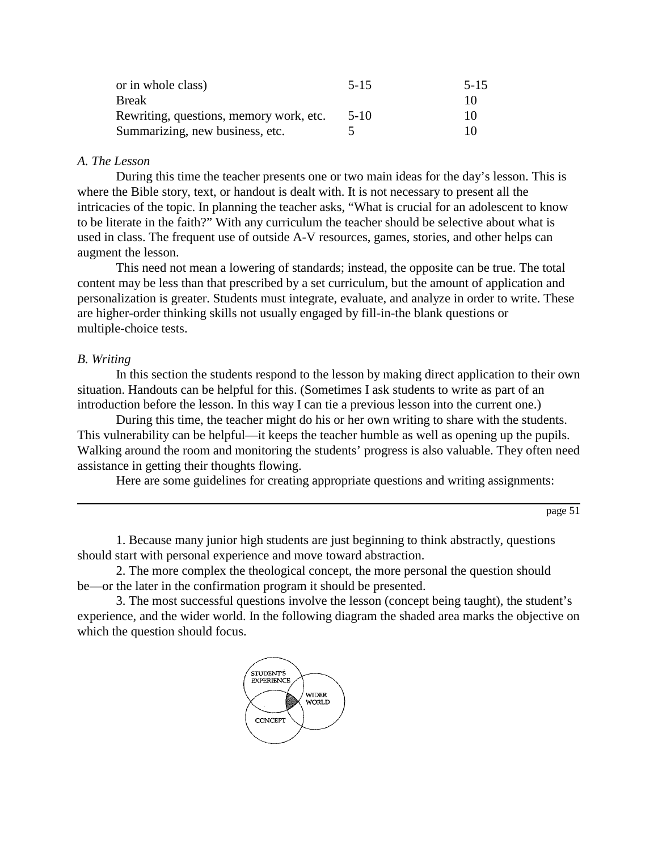| or in whole class)                      | $5 - 15$ | $5 - 15$ |
|-----------------------------------------|----------|----------|
| <b>Break</b>                            |          | 10       |
| Rewriting, questions, memory work, etc. | $5-10$   | 10       |
| Summarizing, new business, etc.         |          | 10       |

## *A. The Lesson*

During this time the teacher presents one or two main ideas for the day's lesson. This is where the Bible story, text, or handout is dealt with. It is not necessary to present all the intricacies of the topic. In planning the teacher asks, "What is crucial for an adolescent to know to be literate in the faith?" With any curriculum the teacher should be selective about what is used in class. The frequent use of outside A-V resources, games, stories, and other helps can augment the lesson.

This need not mean a lowering of standards; instead, the opposite can be true. The total content may be less than that prescribed by a set curriculum, but the amount of application and personalization is greater. Students must integrate, evaluate, and analyze in order to write. These are higher-order thinking skills not usually engaged by fill-in-the blank questions or multiple-choice tests.

## *B. Writing*

In this section the students respond to the lesson by making direct application to their own situation. Handouts can be helpful for this. (Sometimes I ask students to write as part of an introduction before the lesson. In this way I can tie a previous lesson into the current one.)

During this time, the teacher might do his or her own writing to share with the students. This vulnerability can be helpful—it keeps the teacher humble as well as opening up the pupils. Walking around the room and monitoring the students' progress is also valuable. They often need assistance in getting their thoughts flowing.

Here are some guidelines for creating appropriate questions and writing assignments:

page 51

1. Because many junior high students are just beginning to think abstractly, questions should start with personal experience and move toward abstraction.

2. The more complex the theological concept, the more personal the question should be—or the later in the confirmation program it should be presented.

3. The most successful questions involve the lesson (concept being taught), the student's experience, and the wider world. In the following diagram the shaded area marks the objective on which the question should focus.

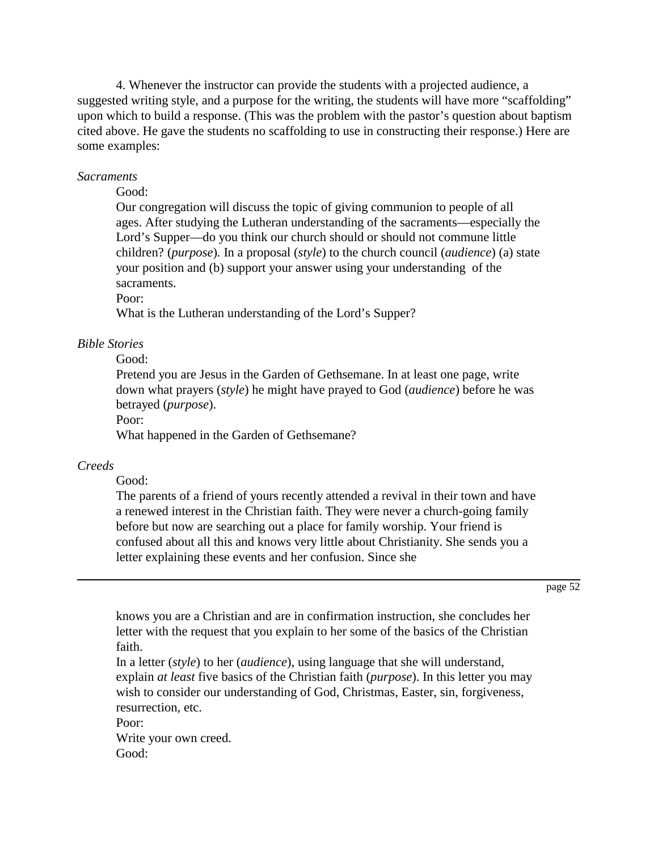4. Whenever the instructor can provide the students with a projected audience, a suggested writing style, and a purpose for the writing, the students will have more "scaffolding" upon which to build a response. (This was the problem with the pastor's question about baptism cited above. He gave the students no scaffolding to use in constructing their response.) Here are some examples:

### *Sacraments*

#### Good:

Our congregation will discuss the topic of giving communion to people of all ages. After studying the Lutheran understanding of the sacraments—especially the Lord's Supper—do you think our church should or should not commune little children? (*purpose*)*.* In a proposal (*style*) to the church council (*audience*) (a) state your position and (b) support your answer using your understanding of the sacraments.

Poor:

What is the Lutheran understanding of the Lord's Supper?

## *Bible Stories*

Good:

Pretend you are Jesus in the Garden of Gethsemane. In at least one page, write down what prayers (*style*) he might have prayed to God (*audience*) before he was betrayed (*purpose*).

Poor:

What happened in the Garden of Gethsemane?

## *Creeds*

Good:

The parents of a friend of yours recently attended a revival in their town and have a renewed interest in the Christian faith. They were never a church-going family before but now are searching out a place for family worship. Your friend is confused about all this and knows very little about Christianity. She sends you a letter explaining these events and her confusion. Since she

page 52

knows you are a Christian and are in confirmation instruction, she concludes her letter with the request that you explain to her some of the basics of the Christian faith.

In a letter (*style*) to her (*audience*), using language that she will understand, explain *at least* five basics of the Christian faith (*purpose*). In this letter you may wish to consider our understanding of God, Christmas, Easter, sin, forgiveness, resurrection, etc.

Poor:

Write your own creed. Good: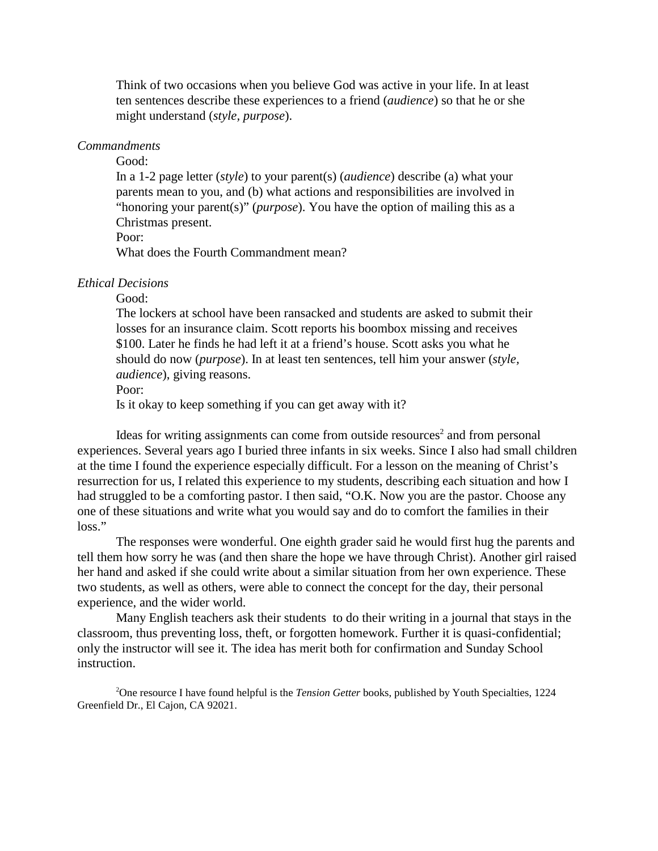Think of two occasions when you believe God was active in your life. In at least ten sentences describe these experiences to a friend (*audience*) so that he or she might understand (*style, purpose*).

### *Commandments*

Good:

In a 1-2 page letter (*style*) to your parent(s) (*audience*) describe (a) what your parents mean to you, and (b) what actions and responsibilities are involved in "honoring your parent(s)" (*purpose*). You have the option of mailing this as a Christmas present.

Poor:

What does the Fourth Commandment mean?

#### *Ethical Decisions*

Good:

The lockers at school have been ransacked and students are asked to submit their losses for an insurance claim. Scott reports his boombox missing and receives \$100. Later he finds he had left it at a friend's house. Scott asks you what he should do now (*purpose*). In at least ten sentences, tell him your answer (*style, audience*), giving reasons.

Poor:

Is it okay to keep something if you can get away with it?

Ideas for writing assignments can come from outside resources<sup>2</sup> and from personal experiences. Several years ago I buried three infants in six weeks. Since I also had small children at the time I found the experience especially difficult. For a lesson on the meaning of Christ's resurrection for us, I related this experience to my students, describing each situation and how I had struggled to be a comforting pastor. I then said, "O.K. Now you are the pastor. Choose any one of these situations and write what you would say and do to comfort the families in their loss."

The responses were wonderful. One eighth grader said he would first hug the parents and tell them how sorry he was (and then share the hope we have through Christ). Another girl raised her hand and asked if she could write about a similar situation from her own experience. These two students, as well as others, were able to connect the concept for the day, their personal experience, and the wider world.

Many English teachers ask their students to do their writing in a journal that stays in the classroom, thus preventing loss, theft, or forgotten homework. Further it is quasi-confidential; only the instructor will see it. The idea has merit both for confirmation and Sunday School instruction.

2 One resource I have found helpful is the *Tension Getter* books, published by Youth Specialties, 1224 Greenfield Dr., El Cajon, CA 92021.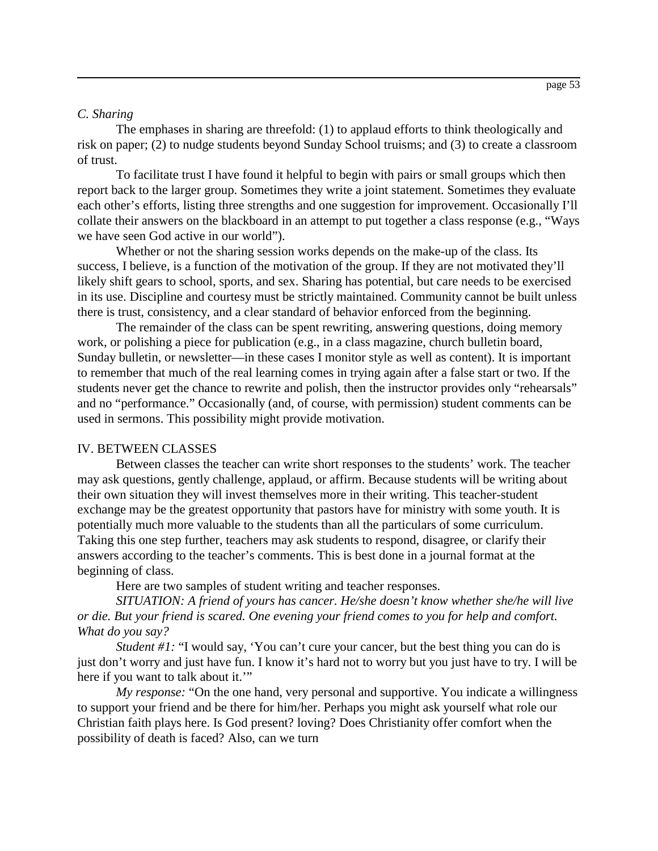#### *C. Sharing*

The emphases in sharing are threefold: (1) to applaud efforts to think theologically and risk on paper; (2) to nudge students beyond Sunday School truisms; and (3) to create a classroom of trust.

To facilitate trust I have found it helpful to begin with pairs or small groups which then report back to the larger group. Sometimes they write a joint statement. Sometimes they evaluate each other's efforts, listing three strengths and one suggestion for improvement. Occasionally I'll collate their answers on the blackboard in an attempt to put together a class response (e.g., "Ways we have seen God active in our world").

Whether or not the sharing session works depends on the make-up of the class. Its success, I believe, is a function of the motivation of the group. If they are not motivated they'll likely shift gears to school, sports, and sex. Sharing has potential, but care needs to be exercised in its use. Discipline and courtesy must be strictly maintained. Community cannot be built unless there is trust, consistency, and a clear standard of behavior enforced from the beginning.

The remainder of the class can be spent rewriting, answering questions, doing memory work, or polishing a piece for publication (e.g., in a class magazine, church bulletin board, Sunday bulletin, or newsletter—in these cases I monitor style as well as content). It is important to remember that much of the real learning comes in trying again after a false start or two. If the students never get the chance to rewrite and polish, then the instructor provides only "rehearsals" and no "performance." Occasionally (and, of course, with permission) student comments can be used in sermons. This possibility might provide motivation.

#### IV. BETWEEN CLASSES

Between classes the teacher can write short responses to the students' work. The teacher may ask questions, gently challenge, applaud, or affirm. Because students will be writing about their own situation they will invest themselves more in their writing. This teacher-student exchange may be the greatest opportunity that pastors have for ministry with some youth. It is potentially much more valuable to the students than all the particulars of some curriculum. Taking this one step further, teachers may ask students to respond, disagree, or clarify their answers according to the teacher's comments. This is best done in a journal format at the beginning of class.

Here are two samples of student writing and teacher responses.

*SITUATION: A friend of yours has cancer. He/she doesn't know whether she/he will live or die. But your friend is scared. One evening your friend comes to you for help and comfort. What do you say?*

*Student #1:* "I would say, 'You can't cure your cancer, but the best thing you can do is just don't worry and just have fun. I know it's hard not to worry but you just have to try. I will be here if you want to talk about it.'"

*My response:* "On the one hand, very personal and supportive. You indicate a willingness to support your friend and be there for him/her. Perhaps you might ask yourself what role our Christian faith plays here. Is God present? loving? Does Christianity offer comfort when the possibility of death is faced? Also, can we turn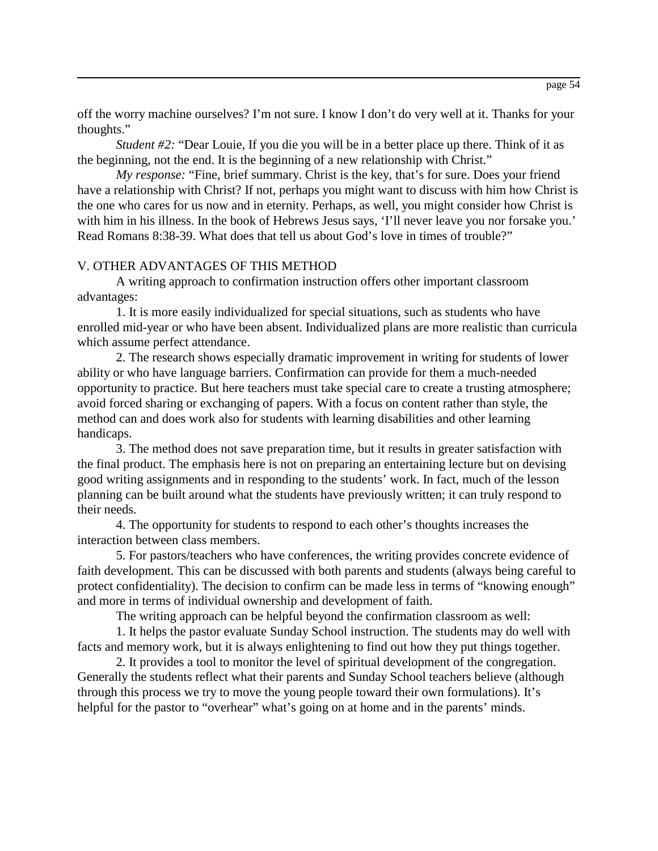off the worry machine ourselves? I'm not sure. I know I don't do very well at it. Thanks for your thoughts."

*Student #2:* "Dear Louie, If you die you will be in a better place up there. Think of it as the beginning, not the end. It is the beginning of a new relationship with Christ."

*My response:* "Fine, brief summary. Christ is the key, that's for sure. Does your friend have a relationship with Christ? If not, perhaps you might want to discuss with him how Christ is the one who cares for us now and in eternity. Perhaps, as well, you might consider how Christ is with him in his illness. In the book of Hebrews Jesus says, 'I'll never leave you nor forsake you.' Read Romans 8:38-39. What does that tell us about God's love in times of trouble?"

## V. OTHER ADVANTAGES OF THIS METHOD

A writing approach to confirmation instruction offers other important classroom advantages:

1. It is more easily individualized for special situations, such as students who have enrolled mid-year or who have been absent. Individualized plans are more realistic than curricula which assume perfect attendance.

2. The research shows especially dramatic improvement in writing for students of lower ability or who have language barriers. Confirmation can provide for them a much-needed opportunity to practice. But here teachers must take special care to create a trusting atmosphere; avoid forced sharing or exchanging of papers. With a focus on content rather than style, the method can and does work also for students with learning disabilities and other learning handicaps.

3. The method does not save preparation time, but it results in greater satisfaction with the final product. The emphasis here is not on preparing an entertaining lecture but on devising good writing assignments and in responding to the students' work. In fact, much of the lesson planning can be built around what the students have previously written; it can truly respond to their needs.

4. The opportunity for students to respond to each other's thoughts increases the interaction between class members.

5. For pastors/teachers who have conferences, the writing provides concrete evidence of faith development. This can be discussed with both parents and students (always being careful to protect confidentiality). The decision to confirm can be made less in terms of "knowing enough" and more in terms of individual ownership and development of faith.

The writing approach can be helpful beyond the confirmation classroom as well:

1. It helps the pastor evaluate Sunday School instruction. The students may do well with facts and memory work, but it is always enlightening to find out how they put things together.

2. It provides a tool to monitor the level of spiritual development of the congregation. Generally the students reflect what their parents and Sunday School teachers believe (although through this process we try to move the young people toward their own formulations). It's helpful for the pastor to "overhear" what's going on at home and in the parents' minds.